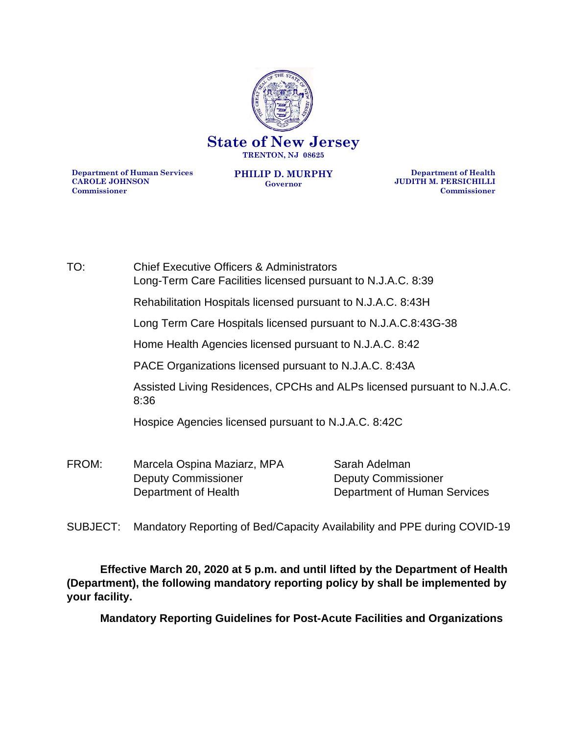

**Department of Human Services CAROLE JOHNSON Commissioner**

**PHILIP D. MURPHY Governor**

**Department of Health JUDITH M. PERSICHILLI Commissioner**

TO: Chief Executive Officers & Administrators Long-Term Care Facilities licensed pursuant to N.J.A.C. 8:39 Rehabilitation Hospitals licensed pursuant to N.J.A.C. 8:43H Long Term Care Hospitals licensed pursuant to N.J.A.C.8:43G-38 Home Health Agencies licensed pursuant to N.J.A.C. 8:42 PACE Organizations licensed pursuant to N.J.A.C. 8:43A Assisted Living Residences, CPCHs and ALPs licensed pursuant to N.J.A.C. 8:36 Hospice Agencies licensed pursuant to N.J.A.C. 8:42C FROM: Marcela Ospina Maziarz, MPA Sarah Adelman Deputy Commissioner Deputy Commissioner Department of Health Department of Human Services

SUBJECT: Mandatory Reporting of Bed/Capacity Availability and PPE during COVID-19

**Effective March 20, 2020 at 5 p.m. and until lifted by the Department of Health (Department), the following mandatory reporting policy by shall be implemented by your facility.** 

**Mandatory Reporting Guidelines for Post-Acute Facilities and Organizations**